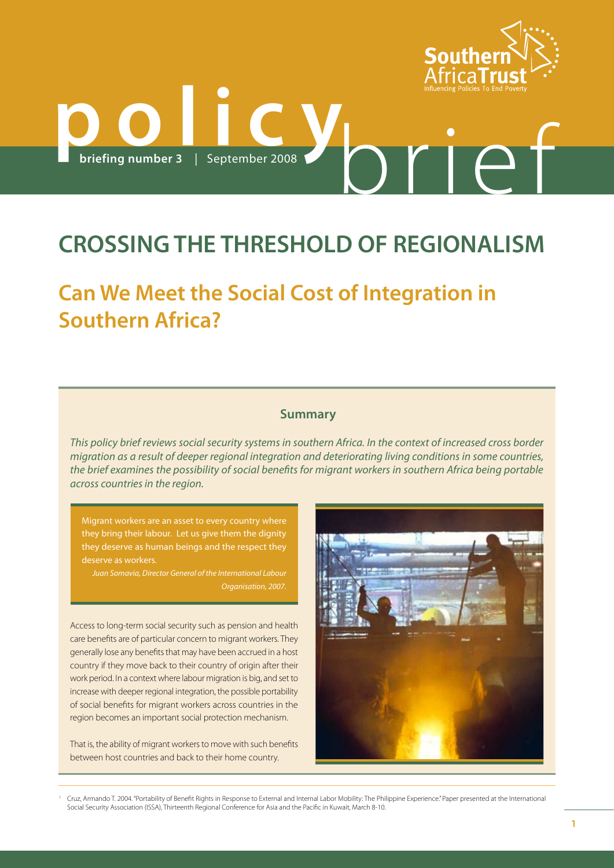

### **CROSSING THE THRESHOLD OF REGIONALISM**

### **Can We Meet the Social Cost of Integration in Southern Africa?**

### **Summary**

*This policy brief reviews social security systems in southern Africa. In the context of increased cross border migration as a result of deeper regional integration and deteriorating living conditions in some countries, the brief examines the possibility of social benefits for migrant workers in southern Africa being portable across countries in the region.*

Migrant workers are an asset to every country where they bring their labour. Let us give them the dignity they deserve as human beings and the respect they deserve as workers.

*Juan Somavia, Director General of the International Labour Organisation, 2007.*

Access to long-term social security such as pension and health care benefits are of particular concern to migrant workers. They generally lose any benefits that may have been accrued in a host country if they move back to their country of origin after their work period. In a context where labour migration is big, and set to increase with deeper regional integration, the possible portability of social benefits for migrant workers across countries in the region becomes an important social protection mechanism.

That is, the ability of migrant workers to move with such benefits between host countries and back to their home country.



<sup>1</sup> Cruz, Armando T. 2004. "Portability of Benefit Rights in Response to External and Internal Labor Mobility: The Philippine Experience." Paper presented at the International Social Security Association (ISSA), Thirteenth Regional Conference for Asia and the Pacific in Kuwait, March 8-10.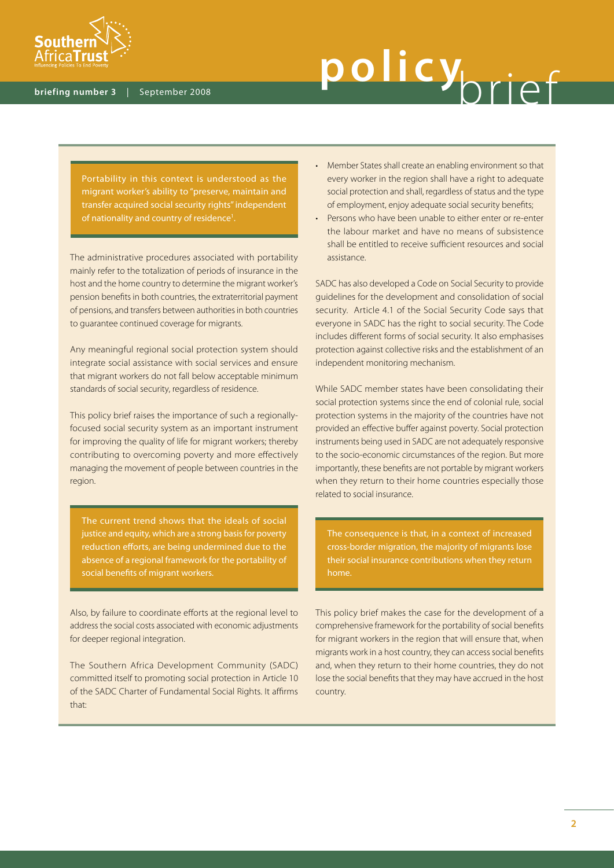

Portability in this context is understood as the migrant worker's ability to "preserve, maintain and transfer acquired social security rights" independent of nationality and country of residence<sup>1</sup>.

The administrative procedures associated with portability mainly refer to the totalization of periods of insurance in the host and the home country to determine the migrant worker's pension benefits in both countries, the extraterritorial payment of pensions, and transfers between authorities in both countries to guarantee continued coverage for migrants.

Any meaningful regional social protection system should integrate social assistance with social services and ensure that migrant workers do not fall below acceptable minimum standards of social security, regardless of residence.

This policy brief raises the importance of such a regionallyfocused social security system as an important instrument for improving the quality of life for migrant workers; thereby contributing to overcoming poverty and more effectively managing the movement of people between countries in the region.

The current trend shows that the ideals of social justice and equity, which are a strong basis for poverty reduction efforts, are being undermined due to the absence of a regional framework for the portability of social benefits of migrant workers.

Also, by failure to coordinate efforts at the regional level to address the social costs associated with economic adjustments for deeper regional integration.

The Southern Africa Development Community (SADC) committed itself to promoting social protection in Article 10 of the SADC Charter of Fundamental Social Rights. It affirms that:

- Member States shall create an enabling environment so that every worker in the region shall have a right to adequate social protection and shall, regardless of status and the type of employment, enjoy adequate social security benefits;
- Persons who have been unable to either enter or re-enter the labour market and have no means of subsistence shall be entitled to receive sufficient resources and social assistance.

SADC has also developed a Code on Social Security to provide guidelines for the development and consolidation of social security. Article 4.1 of the Social Security Code says that everyone in SADC has the right to social security. The Code includes different forms of social security. It also emphasises protection against collective risks and the establishment of an independent monitoring mechanism.

While SADC member states have been consolidating their social protection systems since the end of colonial rule, social protection systems in the majority of the countries have not provided an effective buffer against poverty. Social protection instruments being used in SADC are not adequately responsive to the socio-economic circumstances of the region. But more importantly, these benefits are not portable by migrant workers when they return to their home countries especially those related to social insurance.

The consequence is that, in a context of increased cross-border migration, the majority of migrants lose their social insurance contributions when they return home.

This policy brief makes the case for the development of a comprehensive framework for the portability of social benefits for migrant workers in the region that will ensure that, when migrants work in a host country, they can access social benefits and, when they return to their home countries, they do not lose the social benefits that they may have accrued in the host country.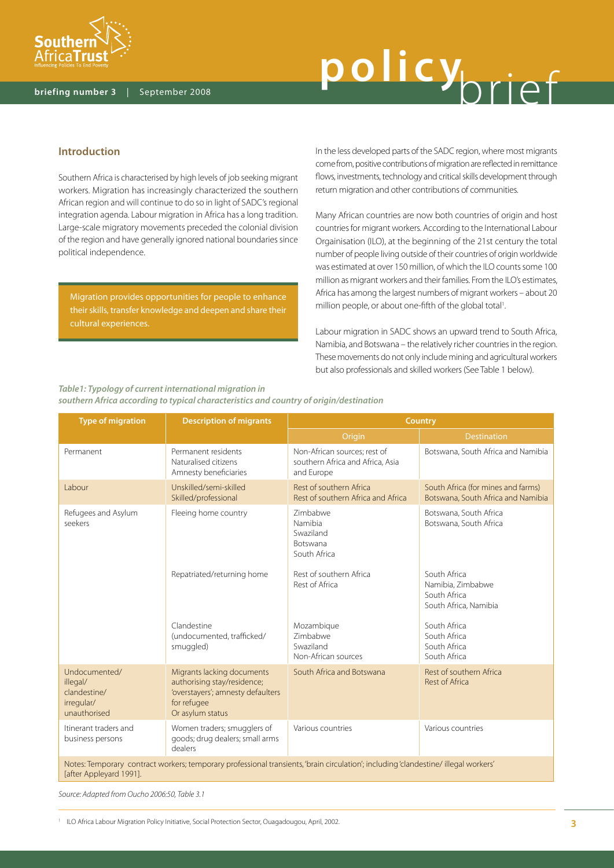

### **Introduction**

Southern Africa is characterised by high levels of job seeking migrant workers. Migration has increasingly characterized the southern African region and will continue to do so in light of SADC's regional integration agenda. Labour migration in Africa has a long tradition. Large-scale migratory movements preceded the colonial division of the region and have generally ignored national boundaries since political independence.

Migration provides opportunities for people to enhance their skills, transfer knowledge and deepen and share their cultural experiences.

In the less developed parts of the SADC region, where most migrants come from, positive contributions of migration are reflected in remittance flows, investments, technology and critical skills development through return migration and other contributions of communities.

Many African countries are now both countries of origin and host countries for migrant workers. According to the International Labour Orgainisation (ILO), at the beginning of the 21st century the total number of people living outside of their countries of origin worldwide was estimated at over 150 million, of which the ILO counts some 100 million as migrant workers and their families. From the ILO's estimates, Africa has among the largest numbers of migrant workers – about 20 million people, or about one-fifth of the global total<sup>1</sup>.

Labour migration in SADC shows an upward trend to South Africa, Namibia, and Botswana – the relatively richer countries in the region. These movements do not only include mining and agricultural workers but also professionals and skilled workers (See Table 1 below).

### *Table1: Typology of current international migration in southern Africa according to typical characteristics and country of origin/destination*

| <b>Type of migration</b>                                                                                                                                       | <b>Description of migrants</b>                                                                                                    | <b>Country</b>                                                                 |                                                                            |  |  |  |  |  |
|----------------------------------------------------------------------------------------------------------------------------------------------------------------|-----------------------------------------------------------------------------------------------------------------------------------|--------------------------------------------------------------------------------|----------------------------------------------------------------------------|--|--|--|--|--|
|                                                                                                                                                                |                                                                                                                                   | Origin                                                                         | <b>Destination</b>                                                         |  |  |  |  |  |
| Permanent                                                                                                                                                      | Permanent residents<br>Naturalised citizens<br>Amnesty beneficiaries                                                              | Non-African sources; rest of<br>southern Africa and Africa, Asia<br>and Europe | Botswana, South Africa and Namibia                                         |  |  |  |  |  |
| Labour                                                                                                                                                         | Unskilled/semi-skilled<br>Skilled/professional                                                                                    | Rest of southern Africa<br>Rest of southern Africa and Africa                  | South Africa (for mines and farms)<br>Botswana, South Africa and Namibia   |  |  |  |  |  |
| Refugees and Asylum<br>seekers                                                                                                                                 | Fleeing home country                                                                                                              | 7imbabwe<br>Namibia<br>Swaziland<br><b>Botswana</b><br>South Africa            | Botswana, South Africa<br>Botswana, South Africa                           |  |  |  |  |  |
|                                                                                                                                                                | Repatriated/returning home                                                                                                        | Rest of southern Africa<br>Rest of Africa                                      | South Africa<br>Namibia, Zimbabwe<br>South Africa<br>South Africa, Namibia |  |  |  |  |  |
|                                                                                                                                                                | Clandestine<br>(undocumented, trafficked/<br>smuggled)                                                                            | Mozambique<br><b>7imbabwe</b><br>Swaziland<br>Non-African sources              | South Africa<br>South Africa<br>South Africa<br>South Africa               |  |  |  |  |  |
| Undocumented/<br>illegal/<br>clandestine/<br>irregular/<br>unauthorised                                                                                        | Migrants lacking documents<br>authorising stay/residence;<br>'overstayers'; amnesty defaulters<br>for refugee<br>Or asylum status | South Africa and Botswana                                                      | Rest of southern Africa<br>Rest of Africa                                  |  |  |  |  |  |
| Itinerant traders and<br>business persons                                                                                                                      | Women traders; smugglers of<br>goods; drug dealers; small arms<br>dealers                                                         | Various countries                                                              | Various countries                                                          |  |  |  |  |  |
| Notes: Temporary contract workers; temporary professional transients, 'brain circulation'; including 'clandestine/ illegal workers'<br>[after Appleyard 1991]. |                                                                                                                                   |                                                                                |                                                                            |  |  |  |  |  |

*Source: Adapted from Oucho 2006:50, Table 3.1*

<sup>&</sup>lt;sup>1</sup> ILO Africa Labour Migration Policy Initiative, Social Protection Sector, Ouagadougou, April, 2002.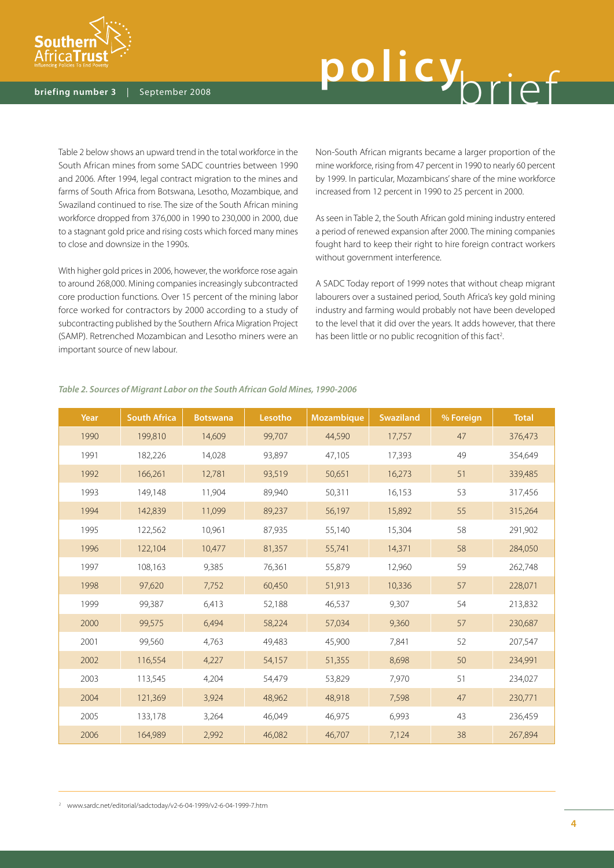

Table 2 below shows an upward trend in the total workforce in the South African mines from some SADC countries between 1990 and 2006. After 1994, legal contract migration to the mines and farms of South Africa from Botswana, Lesotho, Mozambique, and Swaziland continued to rise. The size of the South African mining workforce dropped from 376,000 in 1990 to 230,000 in 2000, due to a stagnant gold price and rising costs which forced many mines to close and downsize in the 1990s.

With higher gold prices in 2006, however, the workforce rose again to around 268,000. Mining companies increasingly subcontracted core production functions. Over 15 percent of the mining labor force worked for contractors by 2000 according to a study of subcontracting published by the Southern Africa Migration Project (SAMP). Retrenched Mozambican and Lesotho miners were an important source of new labour.

Non-South African migrants became a larger proportion of the mine workforce, rising from 47 percent in 1990 to nearly 60 percent by 1999. In particular, Mozambicans' share of the mine workforce increased from 12 percent in 1990 to 25 percent in 2000.

As seen in Table 2, the South African gold mining industry entered a period of renewed expansion after 2000. The mining companies fought hard to keep their right to hire foreign contract workers without government interference.

A SADC Today report of 1999 notes that without cheap migrant labourers over a sustained period, South Africa's key gold mining industry and farming would probably not have been developed to the level that it did over the years. It adds however, that there has been little or no public recognition of this fact<sup>2</sup>.

| Year | <b>South Africa</b> | <b>Botswana</b> | Lesotho | Mozambique | <b>Swaziland</b> | % Foreign | <b>Total</b> |  |
|------|---------------------|-----------------|---------|------------|------------------|-----------|--------------|--|
| 1990 | 199,810             | 14,609          | 99,707  | 44,590     | 17,757           | 47        | 376,473      |  |
| 1991 | 182,226             | 14,028          | 93,897  | 47,105     | 17,393           | 49        | 354,649      |  |
| 1992 | 166,261             | 12,781          | 93,519  | 50,651     | 16,273           | 51        | 339,485      |  |
| 1993 | 149,148             | 11,904          | 89,940  | 50,311     | 16,153           | 53        | 317,456      |  |
| 1994 | 142,839             | 11,099          | 89,237  | 56,197     | 15,892           | 55        | 315,264      |  |
| 1995 | 122,562             | 10,961          | 87,935  | 55,140     | 15,304           | 58        | 291,902      |  |
| 1996 | 122,104             | 10,477          | 81,357  | 55,741     | 14,371           | 58        | 284,050      |  |
| 1997 | 108,163             | 9,385           | 76,361  | 55,879     | 12,960           | 59        | 262,748      |  |
| 1998 | 97,620              | 7,752           | 60,450  | 51,913     | 10,336           | 57        | 228,071      |  |
| 1999 | 99,387              | 6,413           | 52,188  | 46,537     | 9,307            | 54        | 213,832      |  |
| 2000 | 99,575              | 6,494           | 58,224  | 57,034     | 9,360            | 57        | 230,687      |  |
| 2001 | 99,560              | 4,763           | 49,483  | 45,900     | 7,841            | 52        | 207,547      |  |
| 2002 | 116,554             | 4,227           | 54,157  | 51,355     | 8,698            | 50        | 234,991      |  |
| 2003 | 113,545             | 4,204           | 54,479  | 53,829     | 7,970            | 51        | 234,027      |  |
| 2004 | 121,369             | 3,924           | 48,962  | 48,918     | 7,598            | 47        | 230,771      |  |
| 2005 | 133,178             | 3,264           | 46,049  | 46,975     | 6,993            | 43        | 236,459      |  |
| 2006 | 164,989             | 2,992           | 46,082  | 46,707     | 7,124            | 38        | 267,894      |  |

### *Table 2. Sources of Migrant Labor on the South African Gold Mines, 1990-2006*

<sup>2</sup> www.sardc.net/editorial/sadctoday/v2-6-04-1999/v2-6-04-1999-7.htm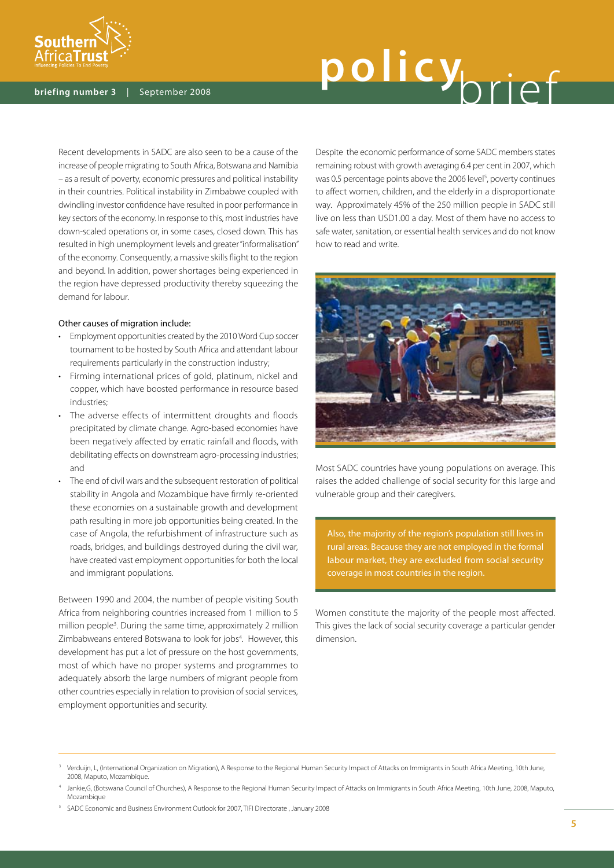

### **policy Policies To End Poetry**<br>briefing number 3 | September 2008<br>briefing number 3 | September 2008

Recent developments in SADC are also seen to be a cause of the increase of people migrating to South Africa, Botswana and Namibia – as a result of poverty, economic pressures and political instability in their countries. Political instability in Zimbabwe coupled with dwindling investor confidence have resulted in poor performance in key sectors of the economy. In response to this, most industries have down-scaled operations or, in some cases, closed down. This has resulted in high unemployment levels and greater "informalisation" of the economy. Consequently, a massive skills flight to the region and beyond. In addition, power shortages being experienced in the region have depressed productivity thereby squeezing the demand for labour.

### Other causes of migration include:

- Employment opportunities created by the 2010 Word Cup soccer tournament to be hosted by South Africa and attendant labour requirements particularly in the construction industry;
- Firming international prices of gold, platinum, nickel and copper, which have boosted performance in resource based industries;
- The adverse effects of intermittent droughts and floods precipitated by climate change. Agro-based economies have been negatively affected by erratic rainfall and floods, with debilitating effects on downstream agro-processing industries; and
- The end of civil wars and the subsequent restoration of political stability in Angola and Mozambique have firmly re-oriented these economies on a sustainable growth and development path resulting in more job opportunities being created. In the case of Angola, the refurbishment of infrastructure such as roads, bridges, and buildings destroyed during the civil war, have created vast employment opportunities for both the local and immigrant populations.

Between 1990 and 2004, the number of people visiting South Africa from neighboring countries increased from 1 million to 5 million people<sup>3</sup>. During the same time, approximately 2 million Zimbabweans entered Botswana to look for jobs<sup>4</sup>. However, this development has put a lot of pressure on the host governments, most of which have no proper systems and programmes to adequately absorb the large numbers of migrant people from other countries especially in relation to provision of social services, employment opportunities and security.

Despite the economic performance of some SADC members states remaining robust with growth averaging 6.4 per cent in 2007, which was 0.5 percentage points above the 2006 level<sup>5</sup>, poverty continues to affect women, children, and the elderly in a disproportionate way. Approximately 45% of the 250 million people in SADC still live on less than USD1.00 a day. Most of them have no access to safe water, sanitation, or essential health services and do not know how to read and write.



Most SADC countries have young populations on average. This raises the added challenge of social security for this large and vulnerable group and their caregivers.

Also, the majority of the region's population still lives in rural areas. Because they are not employed in the formal labour market, they are excluded from social security coverage in most countries in the region.

Women constitute the majority of the people most affected. This gives the lack of social security coverage a particular gender dimension.

<sup>5</sup> SADC Economic and Business Environment Outlook for 2007, TIFI Directorate , January 2008

<sup>3</sup> Verduijn, L, (International Organization on Migration), A Response to the Regional Human Security Impact of Attacks on Immigrants in South Africa Meeting, 10th June, 2008, Maputo, Mozambique.

Jankie,G, (Botswana Council of Churches), A Response to the Regional Human Security Impact of Attacks on Immigrants in South Africa Meeting, 10th June, 2008, Maputo, Mozambique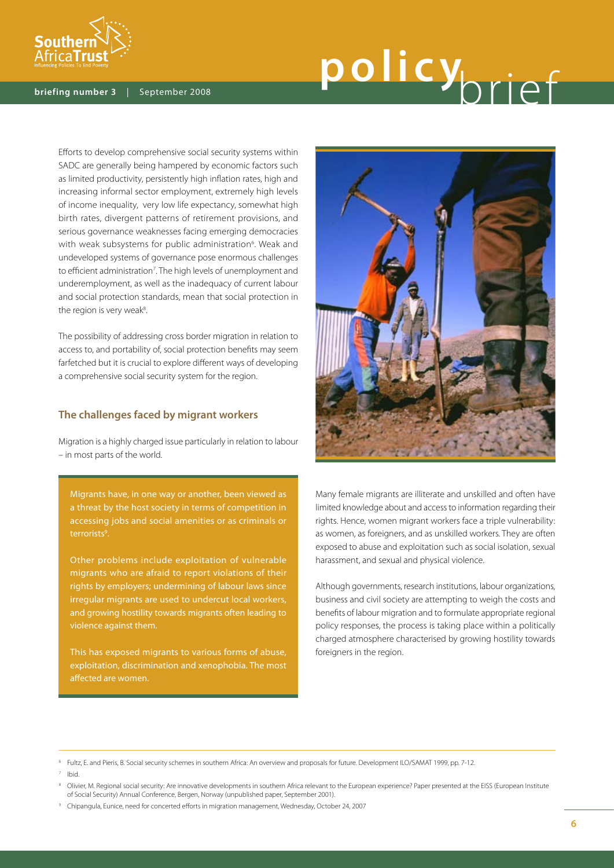

### Africa I rust<br> **prificencing Policies** To End Poverty<br> **briefing number 3** | September 2008

Efforts to develop comprehensive social security systems within SADC are generally being hampered by economic factors such as limited productivity, persistently high inflation rates, high and increasing informal sector employment, extremely high levels of income inequality, very low life expectancy, somewhat high birth rates, divergent patterns of retirement provisions, and serious governance weaknesses facing emerging democracies with weak subsystems for public administration<sup>6</sup>. Weak and undeveloped systems of governance pose enormous challenges to efficient administration<sup>7</sup>. The high levels of unemployment and underemployment, as well as the inadequacy of current labour and social protection standards, mean that social protection in the region is very weak<sup>8</sup>.

The possibility of addressing cross border migration in relation to access to, and portability of, social protection benefits may seem farfetched but it is crucial to explore different ways of developing a comprehensive social security system for the region.

### **The challenges faced by migrant workers**

Migration is a highly charged issue particularly in relation to labour – in most parts of the world.

Migrants have, in one way or another, been viewed as a threat by the host society in terms of competition in accessing jobs and social amenities or as criminals or terrorists<sup>9</sup>.

Other problems include exploitation of vulnerable migrants who are afraid to report violations of their rights by employers; undermining of labour laws since irregular migrants are used to undercut local workers, and growing hostility towards migrants often leading to violence against them.

This has exposed migrants to various forms of abuse, exploitation, discrimination and xenophobia. The most affected are women.



Many female migrants are illiterate and unskilled and often have limited knowledge about and access to information regarding their rights. Hence, women migrant workers face a triple vulnerability: as women, as foreigners, and as unskilled workers. They are often exposed to abuse and exploitation such as social isolation, sexual harassment, and sexual and physical violence.

Although governments, research institutions, labour organizations, business and civil society are attempting to weigh the costs and benefits of labour migration and to formulate appropriate regional policy responses, the process is taking place within a politically charged atmosphere characterised by growing hostility towards foreigners in the region.

<sup>7</sup> Ibid.

<sup>6</sup> Fultz, E. and Pieris, B. Social security schemes in southern Africa: An overview and proposals for future. Development ILO/SAMAT 1999, pp. 7-12.

<sup>&</sup>lt;sup>8</sup> Olivier, M. Regional social security: Are innovative developments in southern Africa relevant to the European experience? Paper presented at the EISS (European Institute of Social Security) Annual Conference, Bergen, Norway (unpublished paper, September 2001).

<sup>9</sup> Chipangula, Eunice, need for concerted efforts in migration management, Wednesday, October 24, 2007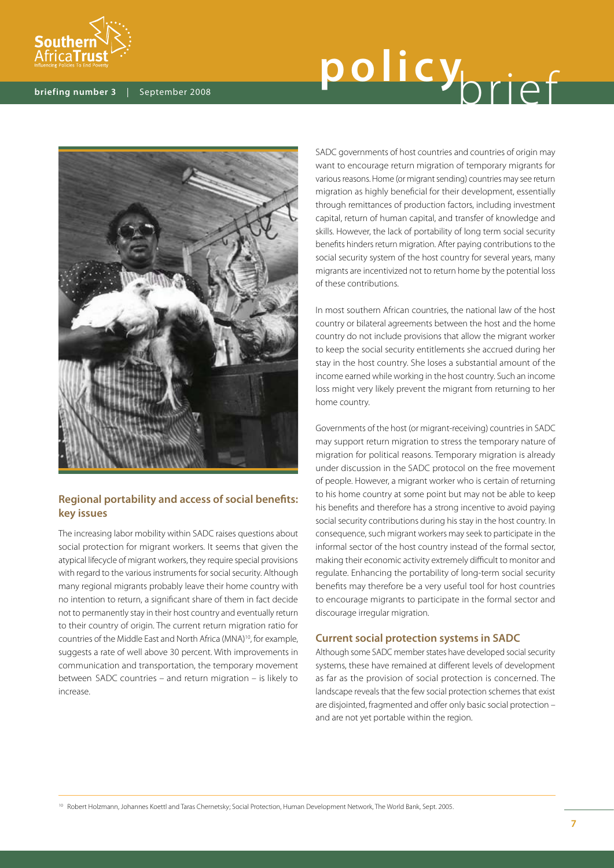

### **policy Policies To End Poverty**<br>briefing number 3 | September 2008<br>briefing number 3 | September 2008



### **Regional portability and access of social benefits: key issues**

The increasing labor mobility within SADC raises questions about social protection for migrant workers. It seems that given the atypical lifecycle of migrant workers, they require special provisions with regard to the various instruments for social security. Although many regional migrants probably leave their home country with no intention to return, a significant share of them in fact decide not to permanently stay in their host country and eventually return to their country of origin. The current return migration ratio for countries of the Middle East and North Africa (MNA)<sup>10</sup>, for example, suggests a rate of well above 30 percent. With improvements in communication and transportation, the temporary movement between SADC countries – and return migration – is likely to increase.

SADC governments of host countries and countries of origin may want to encourage return migration of temporary migrants for various reasons. Home (or migrant sending) countries may see return migration as highly beneficial for their development, essentially through remittances of production factors, including investment capital, return of human capital, and transfer of knowledge and skills. However, the lack of portability of long term social security benefits hinders return migration. After paying contributions to the social security system of the host country for several years, many migrants are incentivized not to return home by the potential loss of these contributions.

In most southern African countries, the national law of the host country or bilateral agreements between the host and the home country do not include provisions that allow the migrant worker to keep the social security entitlements she accrued during her stay in the host country. She loses a substantial amount of the income earned while working in the host country. Such an income loss might very likely prevent the migrant from returning to her home country.

Governments of the host (or migrant-receiving) countries in SADC may support return migration to stress the temporary nature of migration for political reasons. Temporary migration is already under discussion in the SADC protocol on the free movement of people. However, a migrant worker who is certain of returning to his home country at some point but may not be able to keep his benefits and therefore has a strong incentive to avoid paying social security contributions during his stay in the host country. In consequence, such migrant workers may seek to participate in the informal sector of the host country instead of the formal sector, making their economic activity extremely difficult to monitor and regulate. Enhancing the portability of long-term social security benefits may therefore be a very useful tool for host countries to encourage migrants to participate in the formal sector and discourage irregular migration.

### **Current social protection systems in SADC**

Although some SADC member states have developed social security systems, these have remained at different levels of development as far as the provision of social protection is concerned. The landscape reveals that the few social protection schemes that exist are disjointed, fragmented and offer only basic social protection – and are not yet portable within the region.

<sup>10</sup> Robert Holzmann, Johannes Koettl and Taras Chernetsky; Social Protection, Human Development Network, The World Bank, Sept. 2005.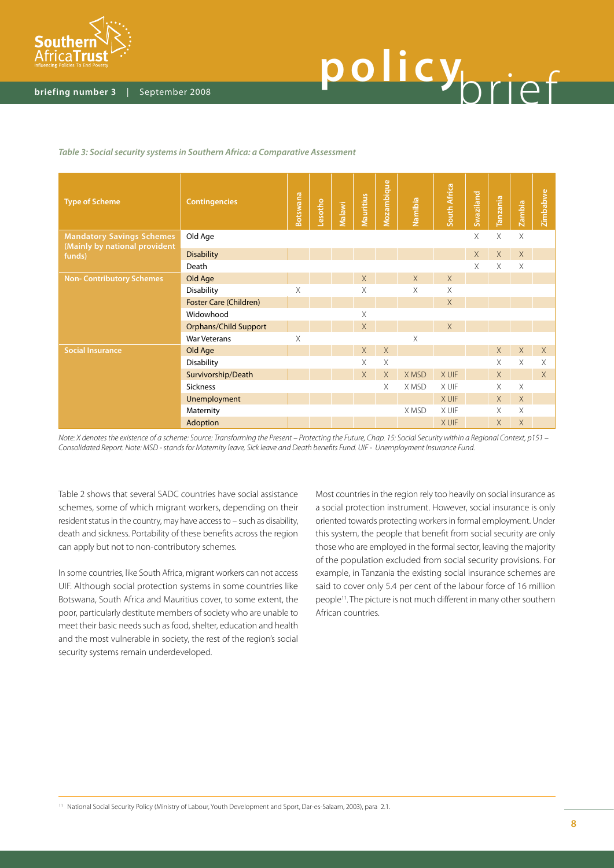



### *Table 3: Social security systems in Southern Africa: a Comparative Assessment*

| <b>Type of Scheme</b>                                                       | <b>Contingencies</b>          | <b>Botswana</b> | esotho- | <b>Malawi</b> | Mauritius | Mozambique | Namibia  | South Africa | Swaziland | Tanzania | Zambia   | Zimbabwe |
|-----------------------------------------------------------------------------|-------------------------------|-----------------|---------|---------------|-----------|------------|----------|--------------|-----------|----------|----------|----------|
| <b>Mandatory Savings Schemes</b><br>(Mainly by national provident<br>funds) | Old Age                       |                 |         |               |           |            |          |              | X         | $\times$ | $\times$ |          |
|                                                                             | <b>Disability</b>             |                 |         |               |           |            |          |              | $\times$  | X        | $\times$ |          |
|                                                                             | Death                         |                 |         |               |           |            |          |              | X         | X        | $\times$ |          |
| <b>Non-Contributory Schemes</b>                                             | Old Age                       |                 |         |               | $\times$  |            | $\times$ | $\times$     |           |          |          |          |
|                                                                             | <b>Disability</b>             | X               |         |               | X         |            | X        | X            |           |          |          |          |
|                                                                             | <b>Foster Care (Children)</b> |                 |         |               |           |            |          | $\times$     |           |          |          |          |
|                                                                             | Widowhood                     |                 |         |               | X         |            |          |              |           |          |          |          |
|                                                                             | <b>Orphans/Child Support</b>  |                 |         |               | $\times$  |            |          | $\times$     |           |          |          |          |
|                                                                             | <b>War Veterans</b>           | X               |         |               |           |            | $\times$ |              |           |          |          |          |
| <b>Social Insurance</b>                                                     | Old Age                       |                 |         |               | X         | $\times$   |          |              |           | $\times$ | $\times$ | $\times$ |
|                                                                             | <b>Disability</b>             |                 |         |               | X         | X          |          |              |           | X        | $\times$ | X        |
|                                                                             | Survivorship/Death            |                 |         |               | X         | $\times$   | X MSD    | X UIF        |           | $\times$ |          | $\times$ |
|                                                                             | <b>Sickness</b>               |                 |         |               |           | $\times$   | X MSD    | X UIF        |           | X        | $\times$ |          |
|                                                                             | Unemployment                  |                 |         |               |           |            |          | X UIF        |           | $\times$ | $\times$ |          |
|                                                                             | Maternity                     |                 |         |               |           |            | X MSD    | X UIF        |           | $\times$ | X        |          |
|                                                                             | Adoption                      |                 |         |               |           |            |          | X UIF        |           | X        | X        |          |

*Note: X denotes the existence of a scheme: Source: Transforming the Present – Protecting the Future, Chap. 15: Social Security within a Regional Context, p151 – Consolidated Report. Note: MSD - stands for Maternity leave, Sick leave and Death benefits Fund. UIF - Unemployment Insurance Fund.*

Table 2 shows that several SADC countries have social assistance schemes, some of which migrant workers, depending on their resident status in the country, may have access to – such as disability, death and sickness. Portability of these benefits across the region can apply but not to non-contributory schemes.

In some countries, like South Africa, migrant workers can not access UIF. Although social protection systems in some countries like Botswana, South Africa and Mauritius cover, to some extent, the poor, particularly destitute members of society who are unable to meet their basic needs such as food, shelter, education and health and the most vulnerable in society, the rest of the region's social security systems remain underdeveloped.

Most countries in the region rely too heavily on social insurance as a social protection instrument. However, social insurance is only oriented towards protecting workers in formal employment. Under this system, the people that benefit from social security are only those who are employed in the formal sector, leaving the majority of the population excluded from social security provisions. For example, in Tanzania the existing social insurance schemes are said to cover only 5.4 per cent of the labour force of 16 million people<sup>11</sup>. The picture is not much different in many other southern African countries.

11 National Social Security Policy (Ministry of Labour, Youth Development and Sport, Dar-es-Salaam, 2003), para 2.1.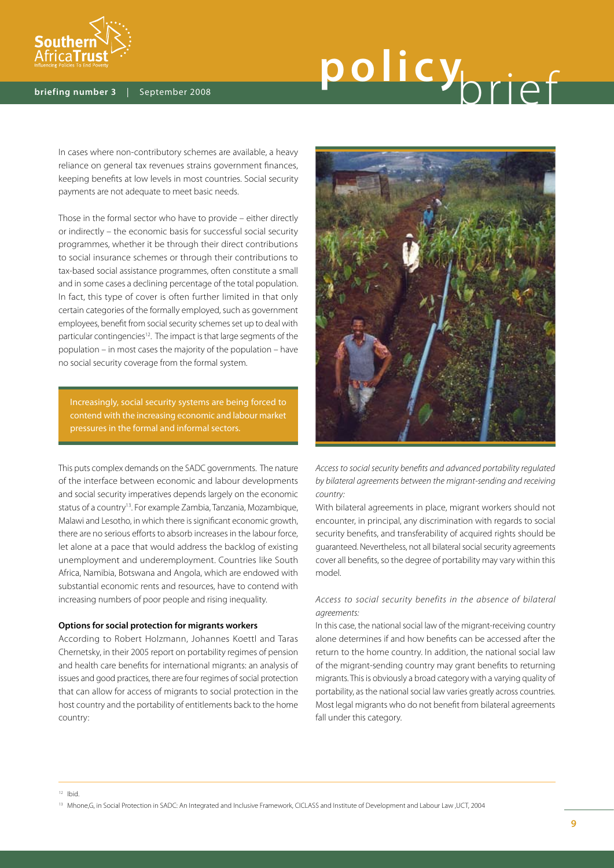

### AfricaTrust  $\cdot$  **briefing number 3** | September 2008<br>briefing number 3 | September 2008

In cases where non-contributory schemes are available, a heavy reliance on general tax revenues strains government finances, keeping benefits at low levels in most countries. Social security payments are not adequate to meet basic needs.

Those in the formal sector who have to provide – either directly or indirectly – the economic basis for successful social security programmes, whether it be through their direct contributions to social insurance schemes or through their contributions to tax-based social assistance programmes, often constitute a small and in some cases a declining percentage of the total population. In fact, this type of cover is often further limited in that only certain categories of the formally employed, such as government employees, benefit from social security schemes set up to deal with particular contingencies<sup>12</sup>. The impact is that large segments of the population – in most cases the majority of the population – have no social security coverage from the formal system.

Increasingly, social security systems are being forced to contend with the increasing economic and labour market pressures in the formal and informal sectors.

This puts complex demands on the SADC governments. The nature of the interface between economic and labour developments and social security imperatives depends largely on the economic status of a country<sup>13</sup>. For example Zambia, Tanzania, Mozambique, Malawi and Lesotho, in which there is significant economic growth, there are no serious efforts to absorb increases in the labour force, let alone at a pace that would address the backlog of existing unemployment and underemployment. Countries like South Africa, Namibia, Botswana and Angola, which are endowed with substantial economic rents and resources, have to contend with increasing numbers of poor people and rising inequality.

### **Options for social protection for migrants workers**

According to Robert Holzmann, Johannes Koettl and Taras Chernetsky, in their 2005 report on portability regimes of pension and health care benefits for international migrants: an analysis of issues and good practices, there are four regimes of social protection that can allow for access of migrants to social protection in the host country and the portability of entitlements back to the home country:



*Access to social security benefits and advanced portability regulated by bilateral agreements between the migrant-sending and receiving country:* 

With bilateral agreements in place, migrant workers should not encounter, in principal, any discrimination with regards to social security benefits, and transferability of acquired rights should be guaranteed. Nevertheless, not all bilateral social security agreements cover all benefits, so the degree of portability may vary within this model.

### *Access to social security benefits in the absence of bilateral agreements:*

In this case, the national social law of the migrant-receiving country alone determines if and how benefits can be accessed after the return to the home country. In addition, the national social law of the migrant-sending country may grant benefits to returning migrants. This is obviously a broad category with a varying quality of portability, as the national social law varies greatly across countries. Most legal migrants who do not benefit from bilateral agreements fall under this category.

 $12$  Ibid.

<sup>&</sup>lt;sup>13</sup> Mhone,G, in Social Protection in SADC: An Integrated and Inclusive Framework, CICLASS and Institute of Development and Labour Law ,UCT, 2004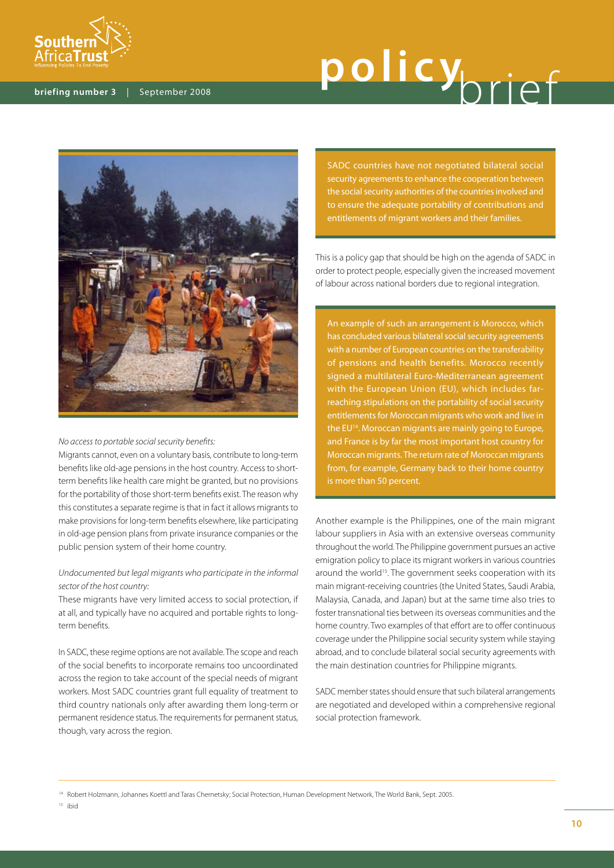

### Africa Trust<sup>ry</sup><br>
briefing number 3 | September 2008<br>
briefing number 3 | September 2008



### *No access to portable social security benefits:*

Migrants cannot, even on a voluntary basis, contribute to long-term benefits like old-age pensions in the host country. Access to shortterm benefits like health care might be granted, but no provisions for the portability of those short-term benefits exist. The reason why this constitutes a separate regime is that in fact it allows migrants to make provisions for long-term benefits elsewhere, like participating in old-age pension plans from private insurance companies or the public pension system of their home country.

### *Undocumented but legal migrants who participate in the informal sector of the host country:*

These migrants have very limited access to social protection, if at all, and typically have no acquired and portable rights to longterm benefits.

In SADC, these regime options are not available. The scope and reach of the social benefits to incorporate remains too uncoordinated across the region to take account of the special needs of migrant workers. Most SADC countries grant full equality of treatment to third country nationals only after awarding them long-term or permanent residence status. The requirements for permanent status, though, vary across the region.

SADC countries have not negotiated bilateral social security agreements to enhance the cooperation between the social security authorities of the countries involved and to ensure the adequate portability of contributions and entitlements of migrant workers and their families.

This is a policy gap that should be high on the agenda of SADC in order to protect people, especially given the increased movement of labour across national borders due to regional integration.

An example of such an arrangement is Morocco, which has concluded various bilateral social security agreements with a number of European countries on the transferability of pensions and health benefits. Morocco recently signed a multilateral Euro-Mediterranean agreement with the European Union (EU), which includes farreaching stipulations on the portability of social security entitlements for Moroccan migrants who work and live in the EU<sup>14</sup>. Moroccan migrants are mainly going to Europe, and France is by far the most important host country for Moroccan migrants. The return rate of Moroccan migrants from, for example, Germany back to their home country is more than 50 percent.

Another example is the Philippines, one of the main migrant labour suppliers in Asia with an extensive overseas community throughout the world. The Philippine government pursues an active emigration policy to place its migrant workers in various countries around the world<sup>15</sup>. The government seeks cooperation with its main migrant-receiving countries (the United States, Saudi Arabia, Malaysia, Canada, and Japan) but at the same time also tries to foster transnational ties between its overseas communities and the home country. Two examples of that effort are to offer continuous coverage under the Philippine social security system while staying abroad, and to conclude bilateral social security agreements with the main destination countries for Philippine migrants.

SADC member states should ensure that such bilateral arrangements are negotiated and developed within a comprehensive regional social protection framework.

<sup>14</sup> Robert Holzmann, Johannes Koettl and Taras Chernetsky; Social Protection, Human Development Network, The World Bank, Sept. 2005.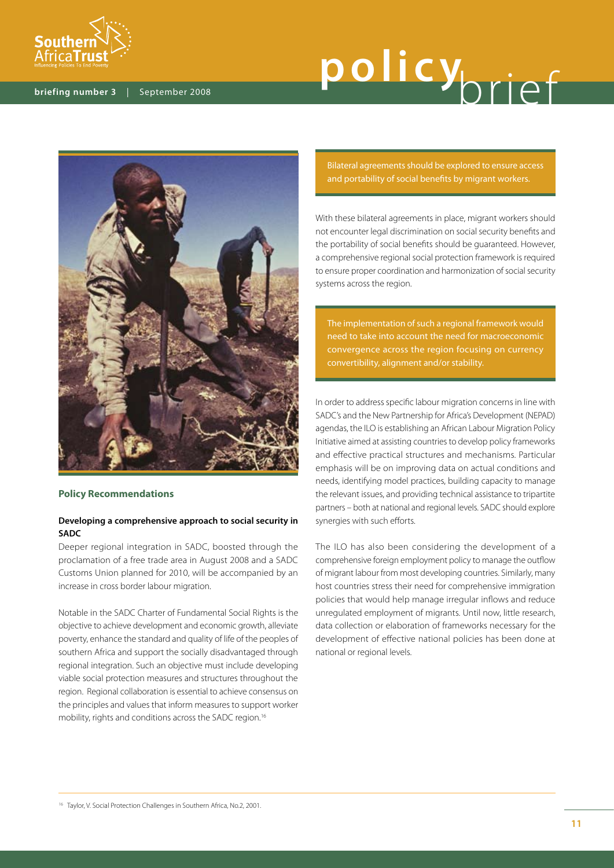

### Africa Trust<br> **princencing Policies** To End Poverty<br> **briefing number 3** | September 2008



### **Policy Recommendations**

### **Developing a comprehensive approach to social security in SADC**

Deeper regional integration in SADC, boosted through the proclamation of a free trade area in August 2008 and a SADC Customs Union planned for 2010, will be accompanied by an increase in cross border labour migration.

Notable in the SADC Charter of Fundamental Social Rights is the objective to achieve development and economic growth, alleviate poverty, enhance the standard and quality of life of the peoples of southern Africa and support the socially disadvantaged through regional integration. Such an objective must include developing viable social protection measures and structures throughout the region. Regional collaboration is essential to achieve consensus on the principles and values that inform measures to support worker mobility, rights and conditions across the SADC region.16

Bilateral agreements should be explored to ensure access and portability of social benefits by migrant workers.

With these bilateral agreements in place, migrant workers should not encounter legal discrimination on social security benefits and the portability of social benefits should be guaranteed. However, a comprehensive regional social protection framework is required to ensure proper coordination and harmonization of social security systems across the region.

The implementation of such a regional framework would need to take into account the need for macroeconomic convergence across the region focusing on currency convertibility, alignment and/or stability.

In order to address specific labour migration concerns in line with SADC's and the New Partnership for Africa's Development (NEPAD) agendas, the ILO is establishing an African Labour Migration Policy Initiative aimed at assisting countries to develop policy frameworks and effective practical structures and mechanisms. Particular emphasis will be on improving data on actual conditions and needs, identifying model practices, building capacity to manage the relevant issues, and providing technical assistance to tripartite partners – both at national and regional levels. SADC should explore synergies with such efforts.

The ILO has also been considering the development of a comprehensive foreign employment policy to manage the outflow of migrant labour from most developing countries. Similarly, many host countries stress their need for comprehensive immigration policies that would help manage irregular inflows and reduce unregulated employment of migrants. Until now, little research, data collection or elaboration of frameworks necessary for the development of effective national policies has been done at national or regional levels.

<sup>16</sup> Taylor, V. Social Protection Challenges in Southern Africa, No.2, 2001.